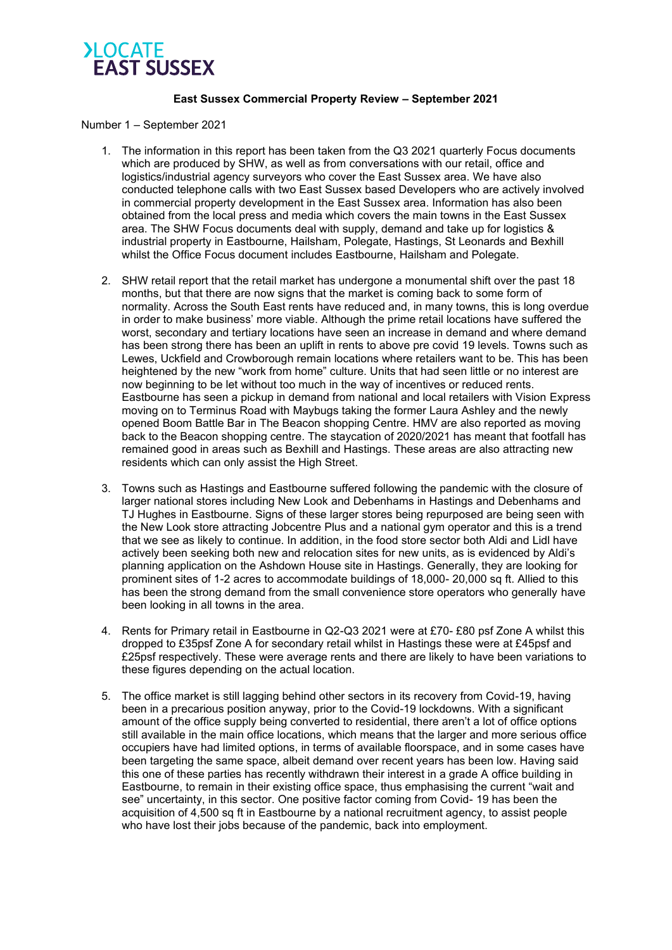

## **East Sussex Commercial Property Review – September 2021**

Number 1 – September 2021

- 1. The information in this report has been taken from the Q3 2021 quarterly Focus documents which are produced by SHW, as well as from conversations with our retail, office and logistics/industrial agency surveyors who cover the East Sussex area. We have also conducted telephone calls with two East Sussex based Developers who are actively involved in commercial property development in the East Sussex area. Information has also been obtained from the local press and media which covers the main towns in the East Sussex area. The SHW Focus documents deal with supply, demand and take up for logistics & industrial property in Eastbourne, Hailsham, Polegate, Hastings, St Leonards and Bexhill whilst the Office Focus document includes Eastbourne, Hailsham and Polegate.
- 2. SHW retail report that the retail market has undergone a monumental shift over the past 18 months, but that there are now signs that the market is coming back to some form of normality. Across the South East rents have reduced and, in many towns, this is long overdue in order to make business' more viable. Although the prime retail locations have suffered the worst, secondary and tertiary locations have seen an increase in demand and where demand has been strong there has been an uplift in rents to above pre covid 19 levels. Towns such as Lewes, Uckfield and Crowborough remain locations where retailers want to be. This has been heightened by the new "work from home" culture. Units that had seen little or no interest are now beginning to be let without too much in the way of incentives or reduced rents. Eastbourne has seen a pickup in demand from national and local retailers with Vision Express moving on to Terminus Road with Maybugs taking the former Laura Ashley and the newly opened Boom Battle Bar in The Beacon shopping Centre. HMV are also reported as moving back to the Beacon shopping centre. The staycation of 2020/2021 has meant that footfall has remained good in areas such as Bexhill and Hastings. These areas are also attracting new residents which can only assist the High Street.
- 3. Towns such as Hastings and Eastbourne suffered following the pandemic with the closure of larger national stores including New Look and Debenhams in Hastings and Debenhams and TJ Hughes in Eastbourne. Signs of these larger stores being repurposed are being seen with the New Look store attracting Jobcentre Plus and a national gym operator and this is a trend that we see as likely to continue. In addition, in the food store sector both Aldi and Lidl have actively been seeking both new and relocation sites for new units, as is evidenced by Aldi's planning application on the Ashdown House site in Hastings. Generally, they are looking for prominent sites of 1-2 acres to accommodate buildings of 18,000- 20,000 sq ft. Allied to this has been the strong demand from the small convenience store operators who generally have been looking in all towns in the area.
- 4. Rents for Primary retail in Eastbourne in Q2-Q3 2021 were at £70- £80 psf Zone A whilst this dropped to £35psf Zone A for secondary retail whilst in Hastings these were at £45psf and £25psf respectively. These were average rents and there are likely to have been variations to these figures depending on the actual location.
- 5. The office market is still lagging behind other sectors in its recovery from Covid-19, having been in a precarious position anyway, prior to the Covid-19 lockdowns. With a significant amount of the office supply being converted to residential, there aren't a lot of office options still available in the main office locations, which means that the larger and more serious office occupiers have had limited options, in terms of available floorspace, and in some cases have been targeting the same space, albeit demand over recent years has been low. Having said this one of these parties has recently withdrawn their interest in a grade A office building in Eastbourne, to remain in their existing office space, thus emphasising the current "wait and see" uncertainty, in this sector. One positive factor coming from Covid- 19 has been the acquisition of 4,500 sq ft in Eastbourne by a national recruitment agency, to assist people who have lost their jobs because of the pandemic, back into employment.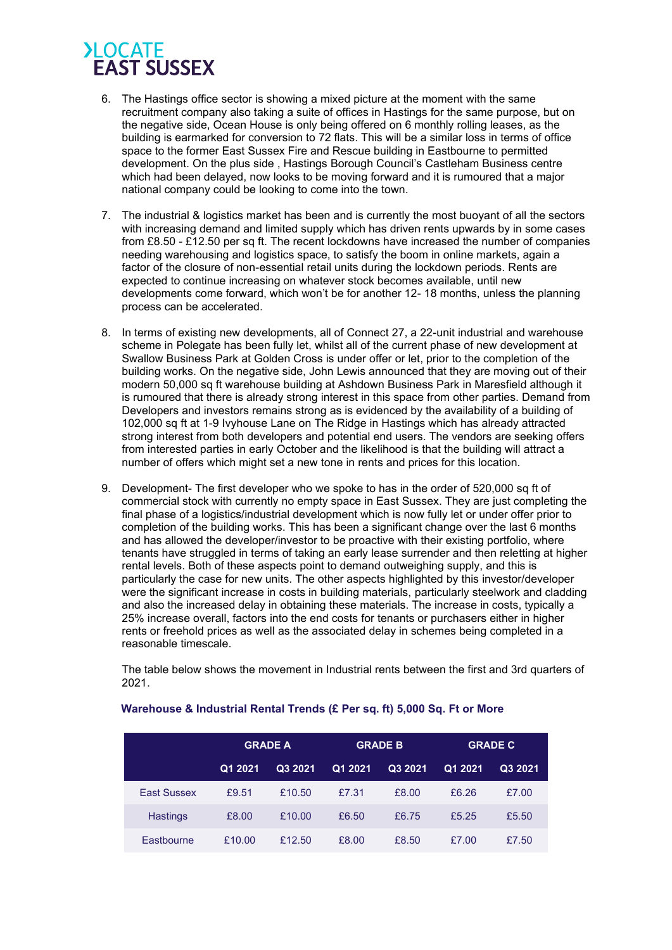## **>LOCATE EAST SUSSEX**

- 6. The Hastings office sector is showing a mixed picture at the moment with the same recruitment company also taking a suite of offices in Hastings for the same purpose, but on the negative side, Ocean House is only being offered on 6 monthly rolling leases, as the building is earmarked for conversion to 72 flats. This will be a similar loss in terms of office space to the former East Sussex Fire and Rescue building in Eastbourne to permitted development. On the plus side , Hastings Borough Council's Castleham Business centre which had been delayed, now looks to be moving forward and it is rumoured that a major national company could be looking to come into the town.
- 7. The industrial & logistics market has been and is currently the most buoyant of all the sectors with increasing demand and limited supply which has driven rents upwards by in some cases from £8.50 - £12.50 per sq ft. The recent lockdowns have increased the number of companies needing warehousing and logistics space, to satisfy the boom in online markets, again a factor of the closure of non-essential retail units during the lockdown periods. Rents are expected to continue increasing on whatever stock becomes available, until new developments come forward, which won't be for another 12- 18 months, unless the planning process can be accelerated.
- 8. In terms of existing new developments, all of Connect 27, a 22-unit industrial and warehouse scheme in Polegate has been fully let, whilst all of the current phase of new development at Swallow Business Park at Golden Cross is under offer or let, prior to the completion of the building works. On the negative side, John Lewis announced that they are moving out of their modern 50,000 sq ft warehouse building at Ashdown Business Park in Maresfield although it is rumoured that there is already strong interest in this space from other parties. Demand from Developers and investors remains strong as is evidenced by the availability of a building of 102,000 sq ft at 1-9 Ivyhouse Lane on The Ridge in Hastings which has already attracted strong interest from both developers and potential end users. The vendors are seeking offers from interested parties in early October and the likelihood is that the building will attract a number of offers which might set a new tone in rents and prices for this location.
- 9. Development- The first developer who we spoke to has in the order of 520,000 sq ft of commercial stock with currently no empty space in East Sussex. They are just completing the final phase of a logistics/industrial development which is now fully let or under offer prior to completion of the building works. This has been a significant change over the last 6 months and has allowed the developer/investor to be proactive with their existing portfolio, where tenants have struggled in terms of taking an early lease surrender and then reletting at higher rental levels. Both of these aspects point to demand outweighing supply, and this is particularly the case for new units. The other aspects highlighted by this investor/developer were the significant increase in costs in building materials, particularly steelwork and cladding and also the increased delay in obtaining these materials. The increase in costs, typically a 25% increase overall, factors into the end costs for tenants or purchasers either in higher rents or freehold prices as well as the associated delay in schemes being completed in a reasonable timescale.

The table below shows the movement in Industrial rents between the first and 3rd quarters of 2021.

|                    | <b>GRADE A</b> |         | <b>GRADE B</b> |         | <b>GRADE C</b> |         |
|--------------------|----------------|---------|----------------|---------|----------------|---------|
|                    | Q1 2021        | Q3 2021 | Q1 2021        | Q3 2021 | Q1 2021        | Q3 2021 |
| <b>Fast Sussex</b> | £9.51          | £10.50  | £7.31          | £8.00   | £6.26          | £7.00   |
| <b>Hastings</b>    | £8.00          | £10.00  | £6.50          | £6.75   | £5.25          | £5.50   |
| Fastbourne         | £10.00         | £12.50  | £8.00          | £8.50   | £7.00          | £7.50   |

## **Warehouse & Industrial Rental Trends (£ Per sq. ft) 5,000 Sq. Ft or More**